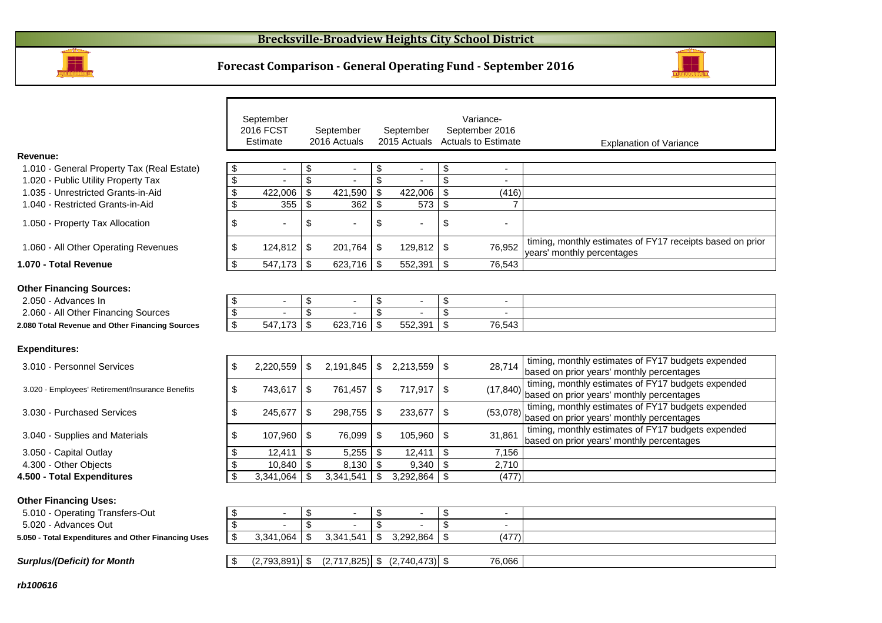

# **Forecast Comparison - General Operating Fund - September 2016**



|                                                     |                         | September<br>2016 FCST<br>Estimate |                         | September<br>2016 Actuals         |                                      | September<br>2015 Actuals | Variance-<br>September 2016<br><b>Actuals to Estimate</b> |                | <b>Explanation of Variance</b>                                                                  |
|-----------------------------------------------------|-------------------------|------------------------------------|-------------------------|-----------------------------------|--------------------------------------|---------------------------|-----------------------------------------------------------|----------------|-------------------------------------------------------------------------------------------------|
| Revenue:                                            |                         |                                    |                         |                                   |                                      |                           |                                                           |                |                                                                                                 |
| 1.010 - General Property Tax (Real Estate)          | \$                      | $\overline{a}$                     | \$                      | $\overline{a}$                    | \$                                   |                           | \$                                                        | $\sim$         |                                                                                                 |
| 1.020 - Public Utility Property Tax                 | \$                      |                                    | \$                      |                                   | $\overline{\boldsymbol{\mathsf{s}}}$ |                           | $\overline{\mathbf{S}}$                                   |                |                                                                                                 |
| 1.035 - Unrestricted Grants-in-Aid                  | \$                      | 422,006                            | \$                      | 421,590                           | \$                                   | 422,006                   | \$                                                        | (416)          |                                                                                                 |
| 1.040 - Restricted Grants-in-Aid                    | $\overline{\mathbf{s}}$ | 355                                | \$                      | 362                               | $\overline{\boldsymbol{\mathsf{s}}}$ | 573                       | $\overline{\$}$                                           | $\overline{7}$ |                                                                                                 |
| 1.050 - Property Tax Allocation                     | \$                      |                                    | \$                      |                                   | \$                                   |                           | \$                                                        |                |                                                                                                 |
| 1.060 - All Other Operating Revenues                | \$                      | 124,812                            | $\sqrt[6]{\frac{1}{2}}$ | 201,764                           | \$                                   | 129,812                   | \$                                                        | 76,952         | timing, monthly estimates of FY17 receipts based on prior<br>years' monthly percentages         |
| 1.070 - Total Revenue                               | \$                      | 547,173                            | -\$                     | $623,716$ \$                      |                                      | 552,391                   | \$                                                        | 76,543         |                                                                                                 |
| <b>Other Financing Sources:</b>                     |                         |                                    |                         |                                   |                                      |                           |                                                           |                |                                                                                                 |
| 2.050 - Advances In                                 | \$                      | $\sim$                             | \$                      | $\sim$                            | \$                                   |                           | \$                                                        | $\sim$         |                                                                                                 |
| 2.060 - All Other Financing Sources                 | \$                      | $\overline{\phantom{a}}$           | \$                      |                                   | $\overline{\boldsymbol{\theta}}$     |                           | $\overline{\mathbf{3}}$                                   |                |                                                                                                 |
| 2.080 Total Revenue and Other Financing Sources     | $\overline{\mathbf{s}}$ | 547,173                            | \$                      | 623,716                           | \$                                   | 552,391                   | $\overline{\mathcal{S}}$                                  | 76,543         |                                                                                                 |
| <b>Expenditures:</b>                                |                         |                                    |                         |                                   |                                      |                           |                                                           |                |                                                                                                 |
| 3.010 - Personnel Services                          | \$                      | 2,220,559                          | \$                      | 2,191,845                         | \$                                   | 2,213,559                 | \$                                                        | 28,714         | timing, monthly estimates of FY17 budgets expended<br>based on prior years' monthly percentages |
| 3.020 - Employees' Retirement/Insurance Benefits    | \$                      | 743,617                            | \$                      | 761,457                           | \$                                   | 717,917                   | \$                                                        | (17, 840)      | timing, monthly estimates of FY17 budgets expended<br>based on prior years' monthly percentages |
| 3.030 - Purchased Services                          | \$                      | 245,677                            | \$                      | 298,755                           | \$                                   | 233,677                   | \$                                                        | (53,078)       | timing, monthly estimates of FY17 budgets expended<br>based on prior years' monthly percentages |
| 3.040 - Supplies and Materials                      | \$                      | 107,960                            | \$                      | 76,099                            | \$                                   | 105,960                   | \$                                                        | 31,861         | timing, monthly estimates of FY17 budgets expended<br>based on prior years' monthly percentages |
| 3.050 - Capital Outlay                              | \$                      | 12,411                             | \$                      | 5,255                             | \$                                   | 12,411                    | \$                                                        | 7,156          |                                                                                                 |
| 4.300 - Other Objects                               | \$                      | 10,840                             | \$                      | $8,130$ \$                        |                                      | 9,340                     | $\overline{\mathbf{s}}$                                   | 2,710          |                                                                                                 |
| 4.500 - Total Expenditures                          | \$                      | 3,341,064                          | \$                      | 3,341,541                         | \$                                   | 3,292,864                 | \$                                                        | (477)          |                                                                                                 |
| <b>Other Financing Uses:</b>                        |                         |                                    |                         |                                   |                                      |                           |                                                           |                |                                                                                                 |
| 5.010 - Operating Transfers-Out                     | \$                      | $\blacksquare$                     | \$                      | $\blacksquare$                    | \$                                   |                           | \$                                                        | $\sim$         |                                                                                                 |
| 5.020 - Advances Out                                | \$                      |                                    | $\mathfrak{S}$          |                                   | \$                                   |                           | \$                                                        |                |                                                                                                 |
| 5.050 - Total Expenditures and Other Financing Uses | \$                      | 3,341,064                          | \$                      | 3,341,541                         | \$                                   | 3,292,864                 | \$                                                        | (477)          |                                                                                                 |
| <b>Surplus/(Deficit) for Month</b>                  | \$                      | $(2,793,891)$ \$                   |                         | $(2,717,825)$ \$ $(2,740,473)$ \$ |                                      |                           |                                                           | 76,066         |                                                                                                 |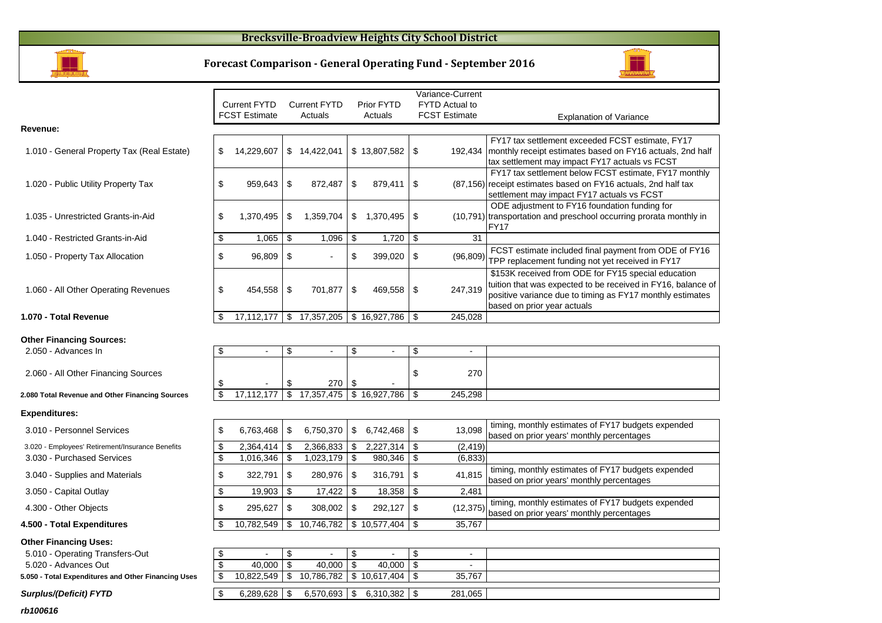### **Brecksville-Broadview Heights City School District**





|                                            |      | <b>Current FYTD</b><br><b>FCST Estimate</b> |    | <b>Current FYTD</b><br>Actuals | Prior FYTD<br>Actuals  |      | FYTD Actual to<br><b>FCST Estimate</b> | <b>Explanation of Variance</b>                                                                                                                                                                                 |
|--------------------------------------------|------|---------------------------------------------|----|--------------------------------|------------------------|------|----------------------------------------|----------------------------------------------------------------------------------------------------------------------------------------------------------------------------------------------------------------|
| Revenue:                                   |      |                                             |    |                                |                        |      |                                        |                                                                                                                                                                                                                |
| 1.010 - General Property Tax (Real Estate) | \$   | 14,229,607                                  |    | \$14,422,041                   |                        |      |                                        | FY17 tax settlement exceeded FCST estimate, FY17<br>192,434   monthly receipt estimates based on FY16 actuals, 2nd half<br>tax settlement may impact FY17 actuals vs FCST                                      |
| 1.020 - Public Utility Property Tax        | S    | 959,643                                     | \$ | 872,487                        | \$<br>$879,411$ \ \$   |      |                                        | FY17 tax settlement below FCST estimate, FY17 monthly<br>(87,156) receipt estimates based on FY16 actuals, 2nd half tax<br>settlement may impact FY17 actuals vs FCST                                          |
| 1.035 - Unrestricted Grants-in-Aid         | S    | 1,370,495                                   | S. | 1,359,704                      | \$<br>$1,370,495$ \ \$ |      |                                        | ODE adjustment to FY16 foundation funding for<br>(10,791) transportation and preschool occurring prorata monthly in<br>FY <sub>17</sub>                                                                        |
| 1.040 - Restricted Grants-in-Aid           |      | 1,065                                       | \$ | 1,096                          | \$<br>1,720            | l \$ | 31                                     |                                                                                                                                                                                                                |
| 1.050 - Property Tax Allocation            |      | 96,809                                      | \$ | $\overline{\phantom{a}}$       | \$<br>399,020          | -\$  | (96, 809)                              | FCST estimate included final payment from ODE of FY16<br>TPP replacement funding not yet received in FY17                                                                                                      |
| 1.060 - All Other Operating Revenues       | \$   | 454,558                                     | \$ | 701,877                        | \$<br>$469,558$ \ \$   |      | 247,319                                | \$153K received from ODE for FY15 special education<br>tuition that was expected to be received in FY16, balance o<br>positive variance due to timing as FY17 monthly estimates<br>based on prior year actuals |
| 1.070 - Total Revenue                      | - \$ | 17,112,177                                  | \$ | 17,357,205                     |                        |      | 245,028                                |                                                                                                                                                                                                                |
| <b>Other Financing Sources:</b>            |      |                                             |    |                                |                        |      |                                        |                                                                                                                                                                                                                |
| 2.050 - Advances In                        | \$   |                                             | \$ |                                | \$<br>$\blacksquare$   | \$   |                                        |                                                                                                                                                                                                                |
| 2.060 - All Other Financing Sources        |      |                                             |    |                                |                        | \$   | 270                                    |                                                                                                                                                                                                                |

**2.080 Total Revenue and Other Financing Sources**

#### **Expenditures:**

3.010 - Personnel Services

3.020 - Employees' Retirement/Insurance Benefits

3.030 - Purchased Services

3.040 - Supplies and Materials **322,791** \$

 3.050 - Capital Outlayy <u>\$ 19,903 | \$ 17,422 | \$ 18,358 | \$ 2,481</u>

4.300 - Other Objects

#### **4.500 - Total Expenditures**

#### **Other Financing Uses:**

| 5.010 - Operating Transfers-Out                     |                |                                |                  |         |
|-----------------------------------------------------|----------------|--------------------------------|------------------|---------|
| 5.020 - Advances Out                                | 40.000         | 40.000                         | 40.000           |         |
| 5.050 - Total Expenditures and Other Financing Uses | $10.822.549$ S | 10,786,782   \$10,617,404   \$ |                  | 35.767  |
|                                                     |                |                                |                  |         |
| Surplus/(Deficit) FYTD                              | 6.289.628      | $6,570,693$ $\frac{8}{3}$      | $6,310,382$   \$ | 281,065 |

|     | \$<br>454,558    | \$<br>701,877    | \$<br>469,558   | \$             | 247,319  | tuition that was expected to be received in FY16, balance of<br>positive variance due to timing as FY17 monthly estimates<br>based on prior year actuals |
|-----|------------------|------------------|-----------------|----------------|----------|----------------------------------------------------------------------------------------------------------------------------------------------------------|
|     | \$<br>17,112,177 | \$<br>17,357,205 | \$16,927,786    | \$             | 245,028  |                                                                                                                                                          |
|     |                  |                  |                 |                |          |                                                                                                                                                          |
|     | \$               | \$               | \$              | \$             | -        |                                                                                                                                                          |
|     | \$               | 270              | \$              | \$             | 270      |                                                                                                                                                          |
| ces | \$<br>17,112,177 | \$<br>17,357,475 | \$16,927,786    | $\mathfrak{F}$ | 245,298  |                                                                                                                                                          |
|     |                  |                  |                 |                |          |                                                                                                                                                          |
|     | \$<br>6,763,468  | \$<br>6,750,370  | \$<br>6,742,468 | \$             | 13,098   | timing, monthly estimates of FY17 budgets expended<br>based on prior years' monthly percentages                                                          |
|     | 2,364,414        | \$<br>2,366,833  | \$<br>2,227,314 | \$             | (2, 419) |                                                                                                                                                          |
|     | \$<br>1,016,346  | \$<br>1,023,179  | \$<br>980,346   | \$             | (6, 833) |                                                                                                                                                          |
|     | \$<br>322,791    | \$<br>280,976    | \$<br>316,791   | \$             | 41,815   | timing, monthly estimates of FY17 budgets expended<br>based on prior years' monthly percentages                                                          |

Variance-Current

 $\frac{1}{295.627}$  \ \$ 308,002 \ \$ 292,127  $\begin{vmatrix} 12,375 \end{vmatrix}$  timing, monthly estimates of FY17 budgets expended based on prior years' monthly percentages **s** 10,782,549 | \$ 10,746,782 | \$ 10,577,404 | \$ 35,767 \$ - \$ - \$ - \$ 40,000 \$ 40,000 \$ 40,000 \$ -

|  | Jul plus/(Delicity I |  |
|--|----------------------|--|
|  |                      |  |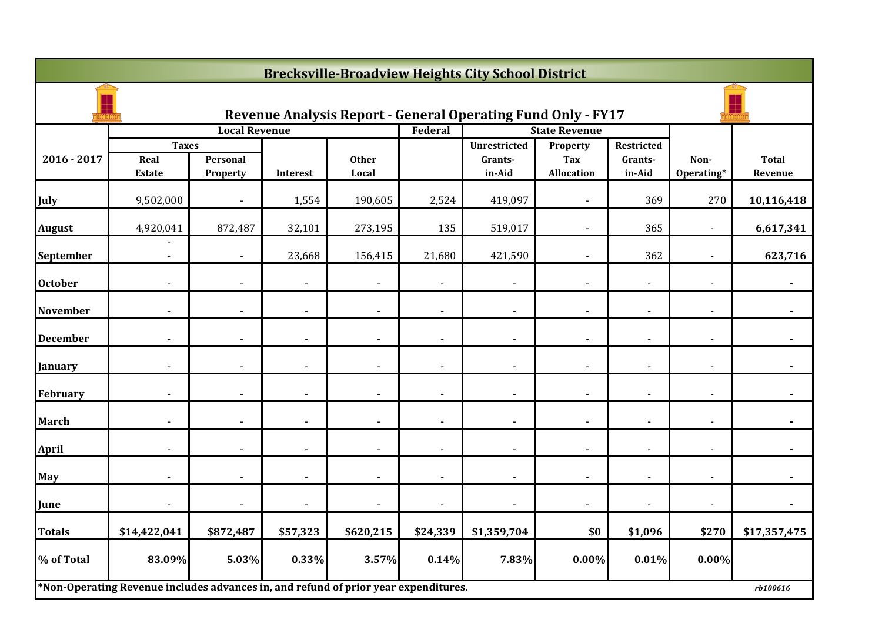|                 |                                                                                     |                          |                 |                       |                          | <b>Brecksville-Broadview Heights City School District</b>           |                                             |                                        |                    |                         |
|-----------------|-------------------------------------------------------------------------------------|--------------------------|-----------------|-----------------------|--------------------------|---------------------------------------------------------------------|---------------------------------------------|----------------------------------------|--------------------|-------------------------|
|                 |                                                                                     |                          |                 |                       |                          | <b>Revenue Analysis Report - General Operating Fund Only - FY17</b> |                                             |                                        |                    |                         |
|                 |                                                                                     | <b>Local Revenue</b>     |                 |                       | Federal                  |                                                                     | <b>State Revenue</b>                        |                                        |                    |                         |
| 2016 - 2017     | <b>Taxes</b><br>Real<br><b>Estate</b>                                               | Personal<br>Property     | <b>Interest</b> | <b>Other</b><br>Local |                          | <b>Unrestricted</b><br>Grants-<br>in-Aid                            | Property<br><b>Tax</b><br><b>Allocation</b> | <b>Restricted</b><br>Grants-<br>in-Aid | Non-<br>Operating* | <b>Total</b><br>Revenue |
| <b>July</b>     | 9,502,000                                                                           |                          | 1,554           | 190,605               | 2,524                    | 419,097                                                             |                                             | 369                                    | 270                | 10,116,418              |
| <b>August</b>   | 4,920,041                                                                           | 872,487                  | 32,101          | 273,195               | 135                      | 519,017                                                             |                                             | 365                                    |                    | 6,617,341               |
| September       | $\blacksquare$                                                                      | $\overline{\phantom{a}}$ | 23,668          | 156,415               | 21,680                   | 421,590                                                             | $\blacksquare$                              | 362                                    | $\blacksquare$     | 623,716                 |
| <b>October</b>  |                                                                                     |                          | $\blacksquare$  |                       |                          | $\overline{\phantom{a}}$                                            |                                             |                                        |                    |                         |
| <b>November</b> |                                                                                     |                          | $\blacksquare$  |                       | $\blacksquare$           | $\blacksquare$                                                      | $\overline{\phantom{0}}$                    |                                        |                    |                         |
| <b>December</b> |                                                                                     |                          |                 |                       |                          | $\overline{\phantom{a}}$                                            |                                             |                                        |                    |                         |
| January         |                                                                                     |                          | $\overline{a}$  |                       |                          | $\overline{\phantom{a}}$                                            |                                             |                                        |                    |                         |
| February        | $\overline{\phantom{a}}$                                                            | $\overline{\phantom{a}}$ | $\blacksquare$  | $\blacksquare$        | $\overline{\phantom{a}}$ | $\blacksquare$                                                      | $\blacksquare$                              | $\blacksquare$                         | $\sim$             | $\blacksquare$          |
| <b>March</b>    |                                                                                     |                          | $\overline{a}$  |                       | $\blacksquare$           | $\overline{\phantom{a}}$                                            |                                             |                                        |                    |                         |
| <b>April</b>    |                                                                                     |                          | $\overline{a}$  |                       | $\overline{a}$           | $\blacksquare$                                                      |                                             |                                        |                    |                         |
| <b>May</b>      |                                                                                     |                          | $\blacksquare$  |                       |                          | $\blacksquare$                                                      |                                             |                                        |                    |                         |
| June            |                                                                                     |                          | $\overline{a}$  |                       |                          | $\blacksquare$                                                      |                                             |                                        |                    |                         |
| <b>Totals</b>   | \$14,422,041                                                                        | \$872,487                | \$57,323        | \$620,215             | \$24,339                 | \$1,359,704                                                         | \$0                                         | \$1,096                                | \$270              | \$17,357,475            |
| % of Total      | 83.09%                                                                              | 5.03%                    | 0.33%           | 3.57%                 | 0.14%                    | 7.83%                                                               | 0.00%                                       | 0.01%                                  | $0.00\%$           |                         |
|                 | *Non-Operating Revenue includes advances in, and refund of prior year expenditures. |                          |                 |                       |                          |                                                                     |                                             |                                        |                    | rb100616                |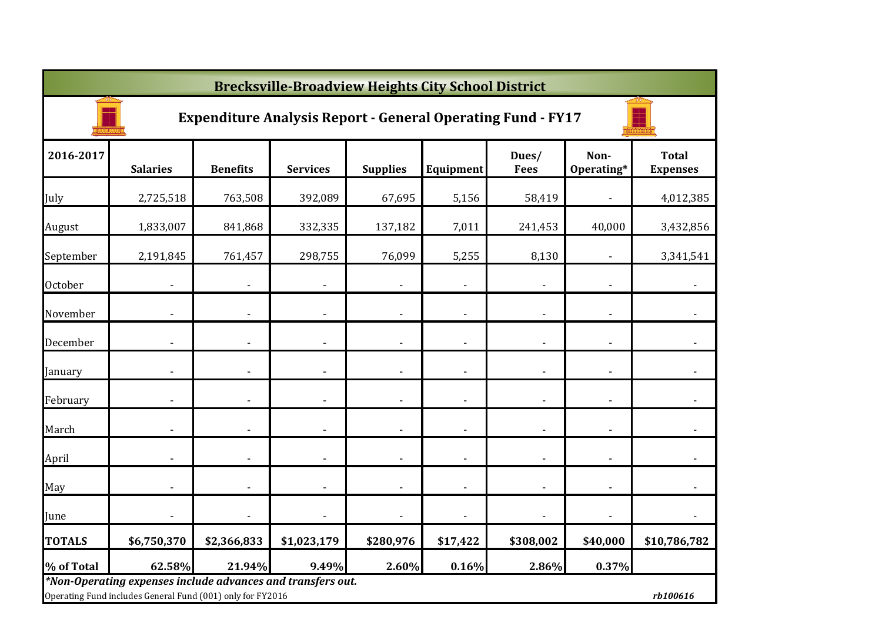|               |                                                                                                                           |                 | <b>Brecksville-Broadview Heights City School District</b> |                 |                              |                                                                    |                    |                                 |
|---------------|---------------------------------------------------------------------------------------------------------------------------|-----------------|-----------------------------------------------------------|-----------------|------------------------------|--------------------------------------------------------------------|--------------------|---------------------------------|
|               |                                                                                                                           |                 |                                                           |                 |                              | <b>Expenditure Analysis Report - General Operating Fund - FY17</b> |                    |                                 |
| 2016-2017     | <b>Salaries</b>                                                                                                           | <b>Benefits</b> | <b>Services</b>                                           | <b>Supplies</b> | Equipment                    | Dues/<br><b>Fees</b>                                               | Non-<br>Operating* | <b>Total</b><br><b>Expenses</b> |
| July          | 2,725,518                                                                                                                 | 763,508         | 392,089                                                   | 67,695          | 5,156                        | 58,419                                                             |                    | 4,012,385                       |
| August        | 1,833,007                                                                                                                 | 841,868         | 332,335                                                   | 137,182         | 7,011                        | 241,453                                                            | 40,000             | 3,432,856                       |
| September     | 2,191,845                                                                                                                 | 761,457         | 298,755                                                   | 76,099          | 5,255                        | 8,130                                                              |                    | 3,341,541                       |
| October       |                                                                                                                           |                 |                                                           |                 |                              |                                                                    |                    |                                 |
| November      |                                                                                                                           |                 |                                                           |                 |                              |                                                                    |                    |                                 |
| December      |                                                                                                                           |                 |                                                           |                 | $\qquad \qquad \blacksquare$ |                                                                    |                    |                                 |
| January       |                                                                                                                           |                 | ٠                                                         |                 | $\overline{\phantom{a}}$     |                                                                    |                    |                                 |
| February      |                                                                                                                           |                 |                                                           |                 | $\overline{\phantom{a}}$     |                                                                    |                    |                                 |
| March         |                                                                                                                           |                 | ÷,                                                        |                 |                              | $\overline{a}$                                                     |                    |                                 |
| April         |                                                                                                                           |                 | ÷,                                                        |                 | $\overline{\phantom{a}}$     |                                                                    |                    |                                 |
| May           |                                                                                                                           |                 | ٠                                                         |                 | $\blacksquare$               | $\blacksquare$                                                     |                    | $\overline{\phantom{a}}$        |
| June          |                                                                                                                           |                 |                                                           |                 |                              |                                                                    |                    |                                 |
| <b>TOTALS</b> | \$6,750,370                                                                                                               | \$2,366,833     | \$1,023,179                                               | \$280,976       | \$17,422                     | \$308,002                                                          | \$40,000           | \$10,786,782                    |
| % of Total    | 62.58%                                                                                                                    | 21.94%          | 9.49%                                                     | 2.60%           | 0.16%                        | 2.86%                                                              | 0.37%              |                                 |
|               | *Non-Operating expenses include advances and transfers out.<br>Operating Fund includes General Fund (001) only for FY2016 |                 |                                                           |                 |                              |                                                                    |                    | rb100616                        |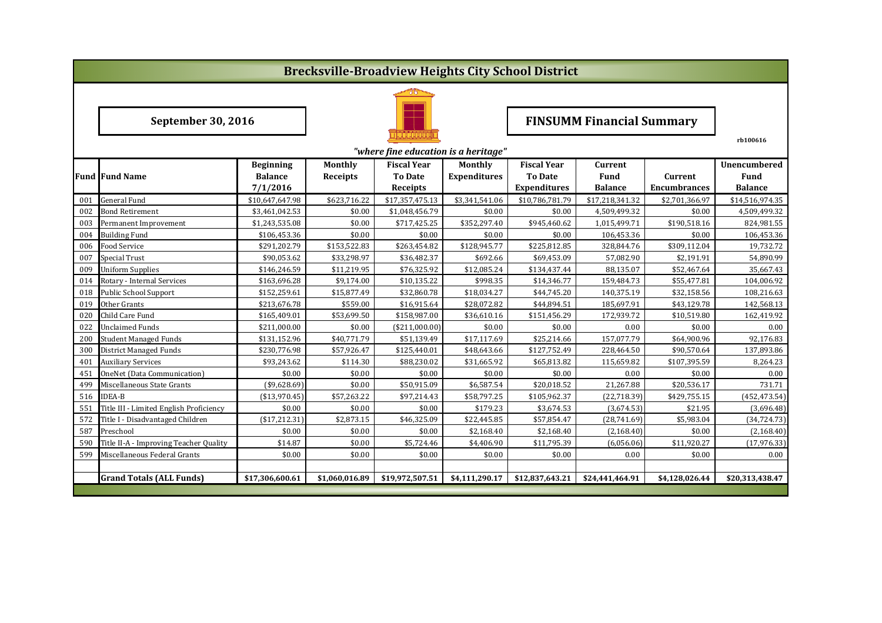|     |                                                                                                                             |                 |                 |                                      |                     | <b>Brecksville-Broadview Heights City School District</b> |                                  |                     |                 |  |  |  |  |  |
|-----|-----------------------------------------------------------------------------------------------------------------------------|-----------------|-----------------|--------------------------------------|---------------------|-----------------------------------------------------------|----------------------------------|---------------------|-----------------|--|--|--|--|--|
|     |                                                                                                                             |                 |                 |                                      |                     |                                                           |                                  |                     |                 |  |  |  |  |  |
|     | September 30, 2016                                                                                                          |                 |                 |                                      |                     |                                                           | <b>FINSUMM Financial Summary</b> |                     |                 |  |  |  |  |  |
|     |                                                                                                                             |                 |                 | "where fine education is a heritage" |                     |                                                           |                                  |                     | rb100616        |  |  |  |  |  |
|     | <b>Monthly</b><br><b>Fiscal Year</b><br><b>Fiscal Year</b><br><b>Unencumbered</b><br><b>Beginning</b><br>Monthly<br>Current |                 |                 |                                      |                     |                                                           |                                  |                     |                 |  |  |  |  |  |
|     | <b>Fund Fund Name</b>                                                                                                       | <b>Balance</b>  | <b>To Date</b>  | <b>Fund</b>                          | Current             | Fund                                                      |                                  |                     |                 |  |  |  |  |  |
|     |                                                                                                                             | 7/1/2016        | <b>Receipts</b> | Receipts                             | <b>Expenditures</b> | <b>Expenditures</b>                                       | <b>Balance</b>                   | <b>Encumbrances</b> | <b>Balance</b>  |  |  |  |  |  |
| 001 | <b>General Fund</b>                                                                                                         | \$10,647,647.98 | \$623,716.22    | \$17,357,475.13                      | \$3,341,541.06      | \$10,786,781.79                                           | \$17,218,341.32                  | \$2,701,366.97      | \$14,516,974.35 |  |  |  |  |  |
| 002 | Bond Retirement                                                                                                             | \$3,461,042.53  | \$0.00          | \$1,048,456.79                       | \$0.00              | \$0.00                                                    | 4,509,499.32                     | \$0.00              | 4,509,499.32    |  |  |  |  |  |
| 003 | Permanent Improvement                                                                                                       | \$1,243,535.08  | \$0.00          | \$717,425.25                         | \$352,297.40        | \$945,460.62                                              | 1,015,499.71                     | \$190,518.16        | 824,981.55      |  |  |  |  |  |
| 004 | <b>Building Fund</b>                                                                                                        | \$106,453.36    | \$0.00          | \$0.00                               | \$0.00              | \$0.00                                                    | 106,453.36                       | \$0.00              | 106,453.36      |  |  |  |  |  |
| 006 | Food Service                                                                                                                | \$291,202.79    | \$153,522.83    | \$263,454.82                         | \$128,945.77        | \$225,812.85                                              | 328,844.76                       | \$309,112.04        | 19,732.72       |  |  |  |  |  |
| 007 | Special Trust                                                                                                               | \$90,053.62     | \$33,298.97     | \$36,482.37                          | \$692.66            | \$69,453.09                                               | 57,082.90                        | \$2,191.91          | 54,890.99       |  |  |  |  |  |
| 009 | <b>Uniform Supplies</b>                                                                                                     | \$146,246.59    | \$11,219.95     | \$76,325.92                          | \$12,085.24         | \$134,437.44                                              | 88,135.07                        | \$52,467.64         | 35,667.43       |  |  |  |  |  |
| 014 | Rotary - Internal Services                                                                                                  | \$163,696.28    | \$9,174.00      | \$10,135.22                          | \$998.35            | \$14,346.77                                               | 159,484.73                       | \$55,477.81         | 104,006.92      |  |  |  |  |  |
| 018 | <b>Public School Support</b>                                                                                                | \$152,259.61    | \$15,877.49     | \$32,860.78                          | \$18,034.27         | \$44,745.20                                               | 140,375.19                       | \$32,158.56         | 108,216.63      |  |  |  |  |  |
| 019 | Other Grants                                                                                                                | \$213,676.78    | \$559.00        | \$16,915.64                          | \$28,072.82         | \$44,894.51                                               | 185,697.91                       | \$43,129.78         | 142,568.13      |  |  |  |  |  |
| 020 | Child Care Fund                                                                                                             | \$165,409.01    | \$53,699.50     | \$158,987.00                         | \$36,610.16         | \$151,456.29                                              | 172,939.72                       | \$10,519.80         | 162,419.92      |  |  |  |  |  |
| 022 | <b>Unclaimed Funds</b>                                                                                                      | \$211,000.00    | \$0.00          | ( \$211,000.00]                      | \$0.00              | \$0.00                                                    | 0.00                             | \$0.00              | 0.00            |  |  |  |  |  |
| 200 | <b>Student Managed Funds</b>                                                                                                | \$131,152.96    | \$40,771.79     | \$51,139.49                          | \$17,117.69         | \$25,214.66                                               | 157,077.79                       | \$64,900.96         | 92,176.83       |  |  |  |  |  |
| 300 | <b>District Managed Funds</b>                                                                                               | \$230,776.98    | \$57,926.47     | \$125,440.01                         | \$48,643.66         | \$127,752.49                                              | 228,464.50                       | \$90,570.64         | 137,893.86      |  |  |  |  |  |
| 401 | <b>Auxiliary Services</b>                                                                                                   | \$93,243.62     | \$114.30        | \$88,230.02                          | \$31,665.92         | \$65,813.82                                               | 115,659.82                       | \$107,395.59        | 8,264.23        |  |  |  |  |  |
| 451 | OneNet (Data Communication)                                                                                                 | \$0.00          | \$0.00          | \$0.00                               | \$0.00              | \$0.00                                                    | 0.00                             | \$0.00              | 0.00            |  |  |  |  |  |
| 499 | Miscellaneous State Grants                                                                                                  | $(*9,628.69)$   | \$0.00          | \$50,915.09                          | \$6,587.54          | \$20,018.52                                               | 21,267.88                        | \$20,536.17         | 731.71          |  |  |  |  |  |
| 516 | <b>IDEA-B</b>                                                                                                               | ( \$13,970.45)  | \$57,263.22     | \$97,214.43                          | \$58,797.25         | \$105,962.37                                              | (22, 718.39)                     | \$429,755.15        | (452, 473.54)   |  |  |  |  |  |
| 551 | Title III - Limited English Proficiency                                                                                     | \$0.00          | \$0.00          | \$0.00                               | \$179.23            | \$3,674.53                                                | (3,674.53)                       | \$21.95             | (3,696.48)      |  |  |  |  |  |
| 572 | Title I - Disadvantaged Children                                                                                            | (\$17,212.31)   | \$2,873.15      | \$46,325.09                          | \$22,445.85         | \$57,854.47                                               | (28,741.69)                      | \$5,983.04          | (34, 724.73)    |  |  |  |  |  |
| 587 | Preschool                                                                                                                   | \$0.00          | \$0.00          | \$0.00                               | \$2,168.40          | \$2,168.40                                                | (2,168.40)                       | \$0.00              | (2,168.40)      |  |  |  |  |  |
| 590 | Title II-A - Improving Teacher Quality                                                                                      | \$14.87         | \$0.00          | \$5,724.46                           | \$4,406.90          | \$11,795.39                                               | (6,056.06)                       | \$11,920.27         | (17, 976.33)    |  |  |  |  |  |
| 599 | Miscellaneous Federal Grants                                                                                                | \$0.00          | \$0.00          | \$0.00                               | \$0.00              | \$0.00                                                    | 0.00                             | \$0.00              | 0.00            |  |  |  |  |  |
|     |                                                                                                                             |                 |                 |                                      |                     |                                                           |                                  |                     |                 |  |  |  |  |  |
|     | <b>Grand Totals (ALL Funds)</b>                                                                                             | \$17,306,600.61 | \$1,060,016.89  | \$19,972,507.51                      | \$4,111,290.17      | \$12,837,643.21                                           | \$24,441,464.91                  | \$4.128.026.44      | \$20,313,438.47 |  |  |  |  |  |
|     |                                                                                                                             |                 |                 |                                      |                     |                                                           |                                  |                     |                 |  |  |  |  |  |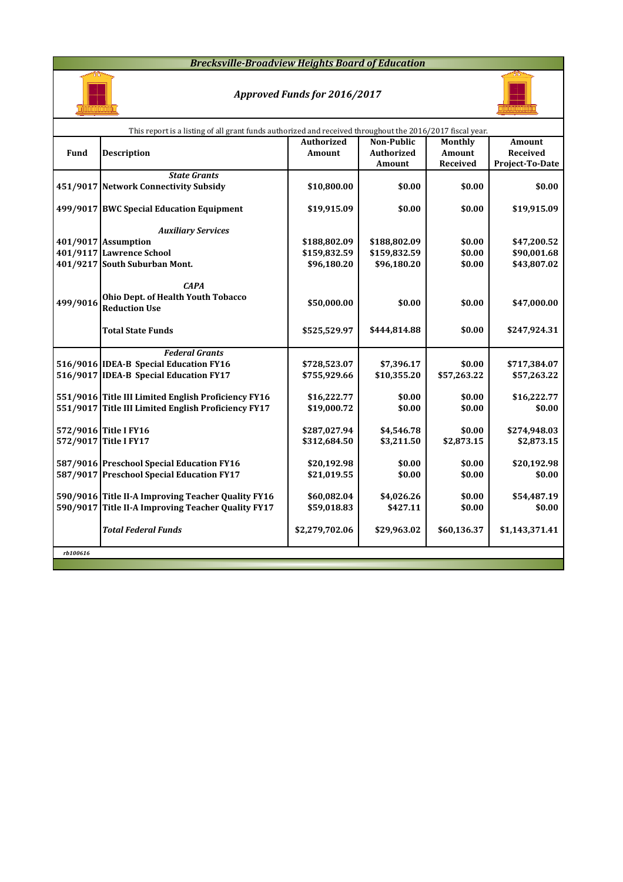### *Brecksville-Broadview Heights Board of Education*



## *Approved Funds for 2016/2017*



|          | This report is a listing of all grant funds authorized and received throughout the 2016/2017 fiscal year. |                   |                   |               |                 |
|----------|-----------------------------------------------------------------------------------------------------------|-------------------|-------------------|---------------|-----------------|
|          |                                                                                                           | <b>Authorized</b> | Non-Public        | Monthly       | Amount          |
| Fund     | <b>Description</b>                                                                                        | <b>Amount</b>     | <b>Authorized</b> | <b>Amount</b> | <b>Received</b> |
|          |                                                                                                           |                   | Amount            | Received      | Project-To-Date |
|          | <b>State Grants</b>                                                                                       |                   |                   |               |                 |
|          | 451/9017 Network Connectivity Subsidy                                                                     | \$10,800.00       | \$0.00            | \$0.00        | \$0.00          |
|          | 499/9017 BWC Special Education Equipment                                                                  | \$19,915.09       | \$0.00            | \$0.00        | \$19,915.09     |
|          | <b>Auxiliary Services</b>                                                                                 |                   |                   |               |                 |
|          | 401/9017 Assumption                                                                                       | \$188,802.09      | \$188,802.09      | \$0.00        | \$47,200.52     |
|          | 401/9117 Lawrence School                                                                                  | \$159,832.59      | \$159,832.59      | \$0.00        | \$90,001.68     |
|          | 401/9217 South Suburban Mont.                                                                             | \$96,180.20       | \$96,180.20       | \$0.00        | \$43,807.02     |
| 499/9016 | <b>CAPA</b><br>Ohio Dept. of Health Youth Tobacco<br><b>Reduction Use</b>                                 | \$50,000.00       | \$0.00            | \$0.00        | \$47,000.00     |
|          | <b>Total State Funds</b>                                                                                  | \$525,529.97      | \$444,814.88      | \$0.00        | \$247,924.31    |
|          | <b>Federal Grants</b>                                                                                     |                   |                   |               |                 |
|          | 516/9016 IDEA-B Special Education FY16                                                                    | \$728,523.07      | \$7,396.17        | \$0.00        | \$717,384.07    |
|          | 516/9017 IDEA-B Special Education FY17                                                                    | \$755,929.66      | \$10,355.20       | \$57,263.22   | \$57,263.22     |
|          |                                                                                                           |                   |                   |               |                 |
|          | 551/9016 Title III Limited English Proficiency FY16                                                       | \$16,222.77       | \$0.00            | \$0.00        | \$16,222.77     |
|          | 551/9017 Title III Limited English Proficiency FY17                                                       | \$19,000.72       | \$0.00            | \$0.00        | \$0.00          |
|          | 572/9016 Title I FY16                                                                                     | \$287,027.94      | \$4,546.78        | \$0.00        | \$274,948.03    |
|          | 572/9017 Title I FY17                                                                                     | \$312,684.50      | \$3,211.50        | \$2,873.15    | \$2,873.15      |
|          |                                                                                                           |                   |                   |               |                 |
|          | 587/9016 Preschool Special Education FY16                                                                 | \$20,192.98       | \$0.00            | \$0.00        | \$20,192.98     |
|          | 587/9017 Preschool Special Education FY17                                                                 | \$21,019.55       | \$0.00            | \$0.00        | \$0.00          |
|          |                                                                                                           |                   |                   |               |                 |
|          | 590/9016 Title II-A Improving Teacher Quality FY16                                                        | \$60,082.04       | \$4,026.26        | \$0.00        | \$54,487.19     |
|          | 590/9017 Title II-A Improving Teacher Quality FY17                                                        | \$59,018.83       | \$427.11          | \$0.00        | \$0.00          |
|          | <b>Total Federal Funds</b>                                                                                | \$2,279,702.06    | \$29,963.02       | \$60,136.37   | \$1,143,371.41  |
| rb100616 |                                                                                                           |                   |                   |               |                 |
|          |                                                                                                           |                   |                   |               |                 |
|          |                                                                                                           |                   |                   |               |                 |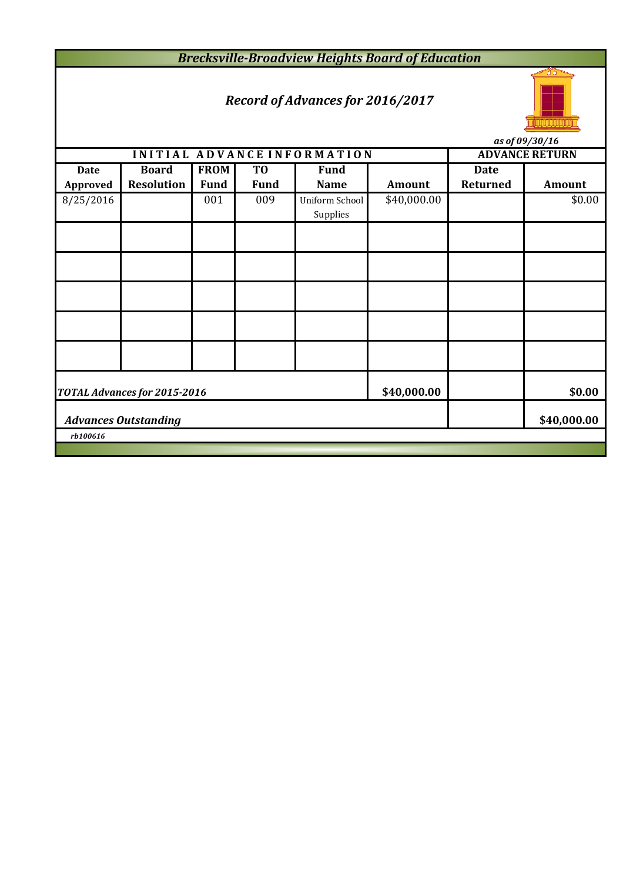*Brecksville-Broadview Heights Board of Education*

## *Record of Advances for 2016/2017*



*as of 09/30/16*

|                                            |                              |             |                | INITIAL ADVANCE INFORMATION |               |             | <b>ADVANCE RETURN</b> |  |  |  |  |
|--------------------------------------------|------------------------------|-------------|----------------|-----------------------------|---------------|-------------|-----------------------|--|--|--|--|
| <b>Date</b>                                | <b>Board</b>                 | <b>FROM</b> | T <sub>0</sub> | <b>Fund</b>                 |               | <b>Date</b> |                       |  |  |  |  |
| Approved                                   | <b>Resolution</b>            | <b>Fund</b> | <b>Fund</b>    | <b>Name</b>                 | <b>Amount</b> | Returned    | <b>Amount</b>         |  |  |  |  |
| 8/25/2016                                  |                              | 001         | 009            | Uniform School              | \$40,000.00   |             | \$0.00                |  |  |  |  |
|                                            |                              |             |                | Supplies                    |               |             |                       |  |  |  |  |
|                                            |                              |             |                |                             |               |             |                       |  |  |  |  |
|                                            |                              |             |                |                             |               |             |                       |  |  |  |  |
|                                            |                              |             |                |                             |               |             |                       |  |  |  |  |
|                                            |                              |             |                |                             |               |             |                       |  |  |  |  |
|                                            |                              |             |                |                             |               |             |                       |  |  |  |  |
|                                            |                              |             |                |                             |               |             |                       |  |  |  |  |
|                                            |                              |             |                |                             |               |             |                       |  |  |  |  |
|                                            | TOTAL Advances for 2015-2016 |             |                |                             | \$40,000.00   |             | \$0.00                |  |  |  |  |
| \$40,000.00<br><b>Advances Outstanding</b> |                              |             |                |                             |               |             |                       |  |  |  |  |
| rb100616                                   |                              |             |                |                             |               |             |                       |  |  |  |  |
|                                            |                              |             |                |                             |               |             |                       |  |  |  |  |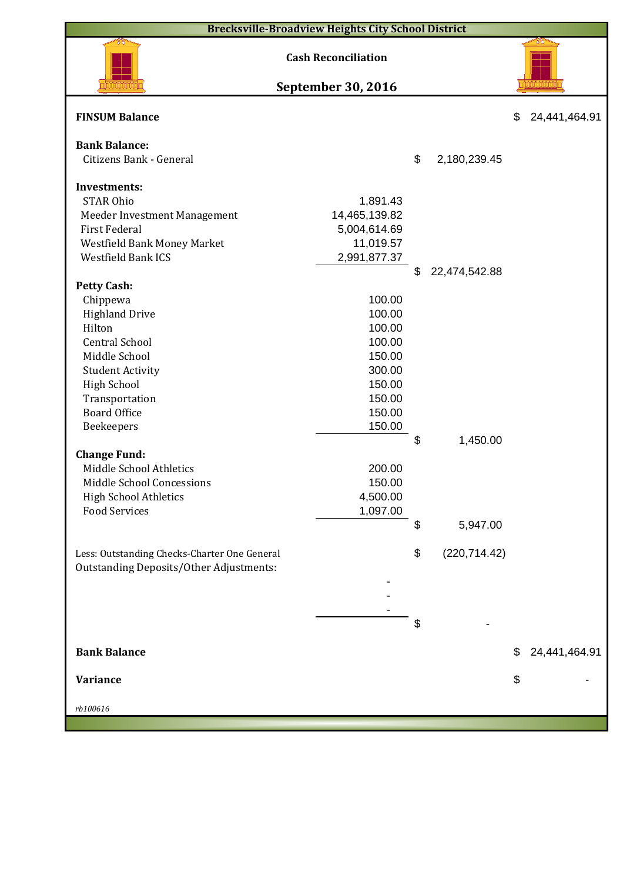| <b>Brecksville-Broadview Heights City School District</b> |                                                         |                     |                     |
|-----------------------------------------------------------|---------------------------------------------------------|---------------------|---------------------|
|                                                           | <b>Cash Reconciliation</b><br><b>September 30, 2016</b> |                     |                     |
|                                                           |                                                         |                     |                     |
| <b>FINSUM Balance</b>                                     |                                                         |                     | \$<br>24,441,464.91 |
| <b>Bank Balance:</b>                                      |                                                         |                     |                     |
| Citizens Bank - General                                   |                                                         | \$<br>2,180,239.45  |                     |
| <b>Investments:</b>                                       |                                                         |                     |                     |
| <b>STAR Ohio</b>                                          | 1,891.43                                                |                     |                     |
| Meeder Investment Management                              | 14,465,139.82                                           |                     |                     |
| <b>First Federal</b>                                      | 5,004,614.69                                            |                     |                     |
| Westfield Bank Money Market                               | 11,019.57                                               |                     |                     |
| <b>Westfield Bank ICS</b>                                 | 2,991,877.37                                            |                     |                     |
|                                                           |                                                         | \$<br>22,474,542.88 |                     |
| <b>Petty Cash:</b>                                        |                                                         |                     |                     |
| Chippewa                                                  | 100.00                                                  |                     |                     |
| <b>Highland Drive</b>                                     | 100.00                                                  |                     |                     |
| Hilton                                                    | 100.00                                                  |                     |                     |
| <b>Central School</b>                                     | 100.00                                                  |                     |                     |
| Middle School                                             | 150.00                                                  |                     |                     |
| <b>Student Activity</b>                                   | 300.00                                                  |                     |                     |
| <b>High School</b>                                        | 150.00                                                  |                     |                     |
| Transportation                                            | 150.00                                                  |                     |                     |
| <b>Board Office</b>                                       | 150.00                                                  |                     |                     |
| Beekeepers                                                | 150.00                                                  |                     |                     |
|                                                           |                                                         | \$<br>1,450.00      |                     |
| <b>Change Fund:</b><br>Middle School Athletics            | 200.00                                                  |                     |                     |
| Middle School Concessions                                 | 150.00                                                  |                     |                     |
| <b>High School Athletics</b>                              | 4,500.00                                                |                     |                     |
| <b>Food Services</b>                                      | 1,097.00                                                |                     |                     |
|                                                           |                                                         | \$<br>5,947.00      |                     |
| Less: Outstanding Checks-Charter One General              |                                                         | \$<br>(220, 714.42) |                     |
| <b>Outstanding Deposits/Other Adjustments:</b>            |                                                         |                     |                     |
|                                                           |                                                         |                     |                     |
|                                                           |                                                         |                     |                     |
|                                                           |                                                         |                     |                     |
|                                                           |                                                         | \$                  |                     |
| <b>Bank Balance</b>                                       |                                                         |                     | \$<br>24,441,464.91 |
| <b>Variance</b>                                           |                                                         |                     | \$                  |
| rb100616                                                  |                                                         |                     |                     |
|                                                           |                                                         |                     |                     |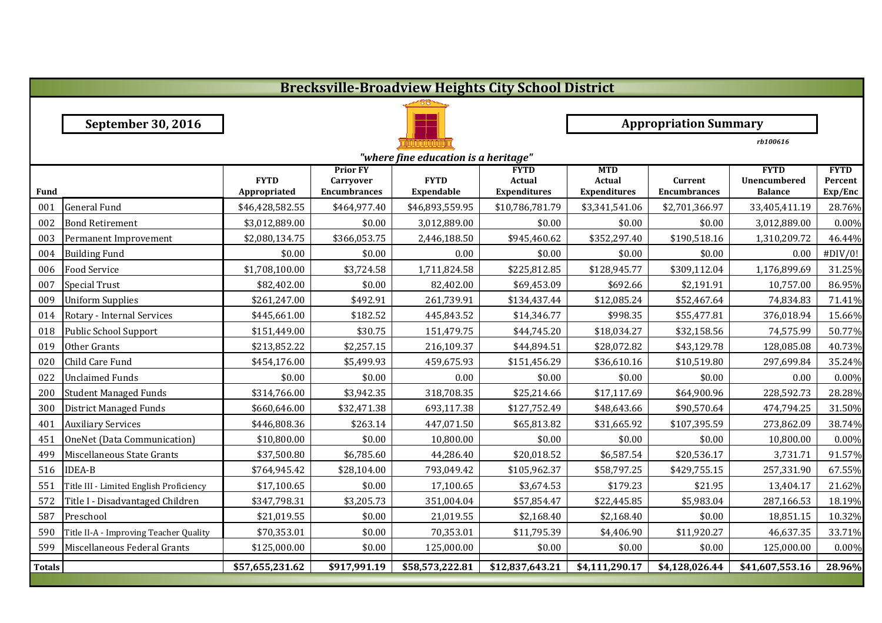|               |                                         |                             |                                                     |                                      | <b>Brecksville-Broadview Heights City School District</b> |                                                    |                                |                                                      |                                   |
|---------------|-----------------------------------------|-----------------------------|-----------------------------------------------------|--------------------------------------|-----------------------------------------------------------|----------------------------------------------------|--------------------------------|------------------------------------------------------|-----------------------------------|
|               |                                         |                             |                                                     |                                      |                                                           |                                                    |                                |                                                      |                                   |
|               | <b>September 30, 2016</b>               |                             |                                                     |                                      |                                                           |                                                    | <b>Appropriation Summary</b>   |                                                      |                                   |
|               |                                         |                             |                                                     |                                      |                                                           |                                                    |                                | rb100616                                             |                                   |
|               |                                         |                             |                                                     | "where fine education is a heritage" |                                                           |                                                    |                                |                                                      |                                   |
| <b>Fund</b>   |                                         | <b>FYTD</b><br>Appropriated | <b>Prior FY</b><br>Carryover<br><b>Encumbrances</b> | <b>FYTD</b><br>Expendable            | <b>FYTD</b><br>Actual<br><b>Expenditures</b>              | <b>MTD</b><br><b>Actual</b><br><b>Expenditures</b> | Current<br><b>Encumbrances</b> | <b>FYTD</b><br><b>Unencumbered</b><br><b>Balance</b> | <b>FYTD</b><br>Percent<br>Exp/Enc |
| 001           | <b>General Fund</b>                     | \$46,428,582.55             | \$464,977.40                                        | \$46,893,559.95                      | \$10,786,781.79                                           | \$3,341,541.06                                     | \$2,701,366.97                 | 33,405,411.19                                        | 28.76%                            |
| 002           | <b>Bond Retirement</b>                  | \$3,012,889.00              | \$0.00                                              | 3,012,889.00                         | \$0.00                                                    | \$0.00                                             | \$0.00                         | 3,012,889.00                                         | 0.00%                             |
| 003           | Permanent Improvement                   | \$2,080,134.75              | \$366,053.75                                        | 2,446,188.50                         | \$945,460.62                                              | \$352,297.40                                       | \$190,518.16                   | 1,310,209.72                                         | 46.44%                            |
| 004           | <b>Building Fund</b>                    | \$0.00                      | \$0.00                                              | 0.00                                 | \$0.00                                                    | \$0.00                                             | \$0.00                         | 0.00                                                 | #DIV/0!                           |
| 006           | <b>Food Service</b>                     | \$1,708,100.00              | \$3,724.58                                          | 1,711,824.58                         | \$225,812.85                                              | \$128,945.77                                       | \$309,112.04                   | 1,176,899.69                                         | 31.25%                            |
| 007           | <b>Special Trust</b>                    | \$82,402.00                 | \$0.00                                              | 82,402.00                            | \$69,453.09                                               | \$692.66                                           | \$2,191.91                     | 10,757.00                                            | 86.95%                            |
| 009           | <b>Uniform Supplies</b>                 | \$261,247.00                | \$492.91                                            | 261,739.91                           | \$134,437.44                                              | \$12,085.24                                        | \$52,467.64                    | 74,834.83                                            | 71.41%                            |
| 014           | Rotary - Internal Services              | \$445,661.00                | \$182.52                                            | 445,843.52                           | \$14,346.77                                               | \$998.35                                           | \$55,477.81                    | 376,018.94                                           | 15.66%                            |
| 018           | Public School Support                   | \$151,449.00                | \$30.75                                             | 151,479.75                           | \$44,745.20                                               | \$18,034.27                                        | \$32,158.56                    | 74,575.99                                            | 50.77%                            |
| 019           | Other Grants                            | \$213,852.22                | \$2,257.15                                          | 216,109.37                           | \$44,894.51                                               | \$28,072.82                                        | \$43,129.78                    | 128,085.08                                           | 40.73%                            |
| 020           | Child Care Fund                         | \$454,176.00                | \$5,499.93                                          | 459,675.93                           | \$151,456.29                                              | \$36,610.16                                        | \$10,519.80                    | 297,699.84                                           | 35.24%                            |
| 022           | <b>Unclaimed Funds</b>                  | \$0.00                      | \$0.00                                              | 0.00                                 | \$0.00                                                    | \$0.00                                             | \$0.00                         | 0.00                                                 | 0.00%                             |
| 200           | <b>Student Managed Funds</b>            | \$314,766.00                | \$3,942.35                                          | 318,708.35                           | \$25,214.66                                               | \$17,117.69                                        | \$64,900.96                    | 228,592.73                                           | 28.28%                            |
| 300           | District Managed Funds                  | \$660,646.00                | \$32,471.38                                         | 693,117.38                           | \$127,752.49                                              | \$48,643.66                                        | \$90,570.64                    | 474,794.25                                           | 31.50%                            |
| 401           | <b>Auxiliary Services</b>               | \$446,808.36                | \$263.14                                            | 447,071.50                           | \$65,813.82                                               | \$31,665.92                                        | \$107,395.59                   | 273,862.09                                           | 38.74%                            |
| 451           | OneNet (Data Communication)             | \$10,800.00                 | \$0.00                                              | 10,800.00                            | \$0.00                                                    | \$0.00                                             | \$0.00                         | 10,800.00                                            | 0.00%                             |
| 499           | Miscellaneous State Grants              | \$37,500.80                 | \$6,785.60                                          | 44,286.40                            | \$20,018.52                                               | \$6,587.54                                         | \$20,536.17                    | 3,731.71                                             | 91.57%                            |
| 516           | <b>IDEA-B</b>                           | \$764,945.42                | \$28,104.00                                         | 793,049.42                           | \$105,962.37                                              | \$58,797.25                                        | \$429,755.15                   | 257,331.90                                           | 67.55%                            |
| 551           | Title III - Limited English Proficiency | \$17,100.65                 | \$0.00                                              | 17,100.65                            | \$3,674.53                                                | \$179.23                                           | \$21.95                        | 13,404.17                                            | 21.62%                            |
| 572           | Title I - Disadvantaged Children        | \$347,798.31                | \$3,205.73                                          | 351,004.04                           | \$57,854.47                                               | \$22,445.85                                        | \$5,983.04                     | 287,166.53                                           | 18.19%                            |
| 587           | Preschool                               | \$21,019.55                 | \$0.00                                              | 21,019.55                            | \$2,168.40                                                | \$2,168.40                                         | \$0.00                         | 18,851.15                                            | 10.32%                            |
| 590           | Title II-A - Improving Teacher Quality  | \$70,353.01                 | \$0.00                                              | 70,353.01                            | \$11,795.39                                               | \$4,406.90                                         | \$11,920.27                    | 46,637.35                                            | 33.71%                            |
| 599           | Miscellaneous Federal Grants            | \$125,000.00                | \$0.00                                              | 125,000.00                           | \$0.00                                                    | \$0.00                                             | \$0.00                         | 125,000.00                                           | 0.00%                             |
| <b>Totals</b> |                                         | \$57,655,231.62             | \$917,991.19                                        | \$58,573,222.81                      | \$12,837,643.21                                           | \$4,111,290.17                                     | \$4,128,026.44                 | \$41,607,553.16                                      | 28.96%                            |